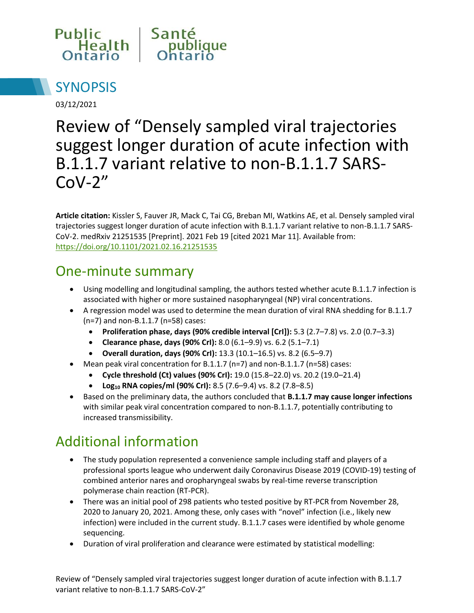



03/12/2021

# Review of "Densely sampled viral trajectories suggest longer duration of acute infection with B.1.1.7 variant relative to non-B.1.1.7 SARS- $Cov-2"$

**Article citation:** Kissler S, Fauver JR, Mack C, Tai CG, Breban MI, Watkins AE, et al. Densely sampled viral trajectories suggest longer duration of acute infection with B.1.1.7 variant relative to non-B.1.1.7 SARS-CoV-2. medRxiv 21251535 [Preprint]. 2021 Feb 19 [cited 2021 Mar 11]. Available from: <https://doi.org/10.1101/2021.02.16.21251535>

#### One-minute summary

- Using modelling and longitudinal sampling, the authors tested whether acute B.1.1.7 infection is associated with higher or more sustained nasopharyngeal (NP) viral concentrations.
- A regression model was used to determine the mean duration of viral RNA shedding for B.1.1.7 (n=7) and non-B.1.1.7 (n=58) cases:
	- **Proliferation phase, days (90% credible interval [CrI]):** 5.3 (2.7–7.8) vs. 2.0 (0.7–3.3)
	- **Clearance phase, days (90% CrI):** 8.0 (6.1–9.9) vs. 6.2 (5.1–7.1)
	- **Overall duration, days (90% CrI):** 13.3 (10.1–16.5) vs. 8.2 (6.5–9.7)
- Mean peak viral concentration for B.1.1.7 (n=7) and non-B.1.1.7 (n=58) cases:
	- **Cycle threshold (Ct) values (90% CrI):** 19.0 (15.8–22.0) vs. 20.2 (19.0–21.4)
	- **Log10 RNA copies/ml (90% CrI):** 8.5 (7.6–9.4) vs. 8.2 (7.8–8.5)
- Based on the preliminary data, the authors concluded that **B.1.1.7 may cause longer infections** with similar peak viral concentration compared to non-B.1.1.7, potentially contributing to increased transmissibility.

## Additional information

- The study population represented a convenience sample including staff and players of a professional sports league who underwent daily Coronavirus Disease 2019 (COVID-19) testing of combined anterior nares and oropharyngeal swabs by real-time reverse transcription polymerase chain reaction (RT-PCR).
- There was an initial pool of 298 patients who tested positive by RT-PCR from November 28, 2020 to January 20, 2021. Among these, only cases with "novel" infection (i.e., likely new infection) were included in the current study. B.1.1.7 cases were identified by whole genome sequencing.
- Duration of viral proliferation and clearance were estimated by statistical modelling: